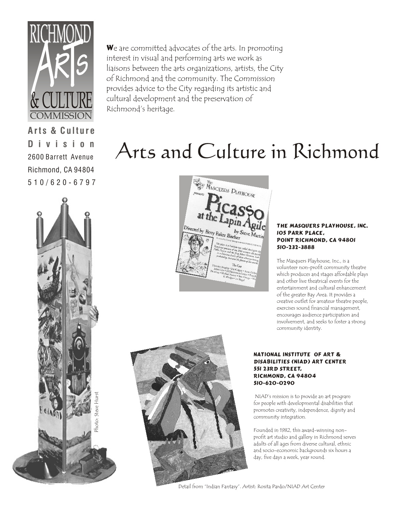

2600 Barrett Avenue Richmond, CA 94804 5 1 0 / 6 2 0 - 6 7 9 7 **Arts & Culture Division**

We are committed advocates of the arts. In promoting interest in visual and performing arts we work as liaisons between the arts organizations, artists, the City of Richmond and the community. The Commission provides advice to the City regarding its artistic and cultural development and the preservation of Richmond's heritage.

# Arts and Culture in Richmond







## The Masquers Playhouse, Inc. 105 Park Place, Point Richmond, CA 94801 510-232-3888

The Masquers Playhouse, Inc., is a volunteer non-profit community theatre which produces and stages affordable plays and other live theatrical events for the entertainment and cultural enhancement of the greater Bay Area. It provides a creative outlet for amateur theatre people, exercises sound financial management, encourages audience participation and involvement, and seeks to foster a strong community identity.

#### National Institute of Art & Disabilities (NIAD) Art Center 551 23rd Street, Richmond, CA 94804 510-620-0290

 NIAD's mission is to provide an art program for people with developmental disabilities that promotes creativity, independence, dignity and community integration.

Founded in 1982, this award-winning nonprofit art studio and gallery in Richmond serves adults of all ages from diverse cultural, ethnic and socio-economic backgrounds six hours a day, five days a week, year round.

Detail from "Indian Fantasy". Artist: Rosita Pardo/NIAD Art Center